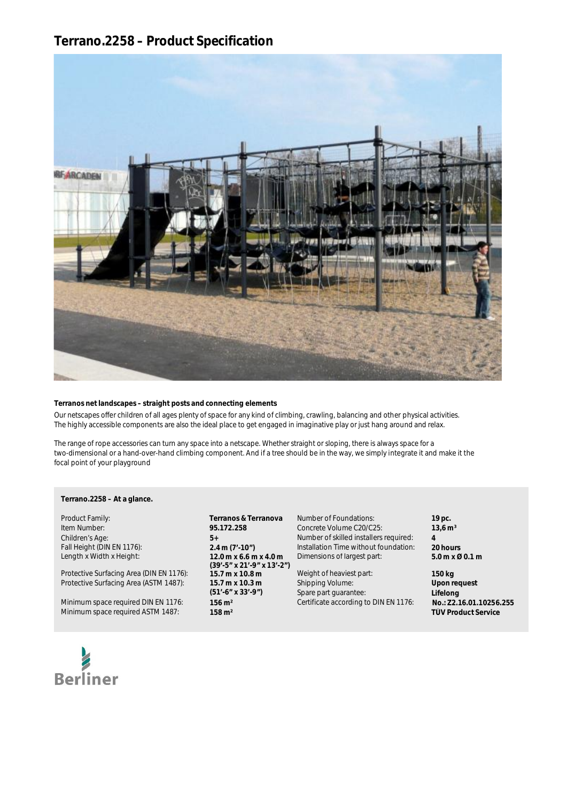# a **Terrano.2258 – Product Specification**



### **Terranos net landscapes – straight posts and connecting elements**

**a** Our netscapes offer children of all ages plenty of space for any kind of climbing, crawling, balancing and other physical activities. The highly accessible components are also the ideal place to get engaged in imaginative play or just hang around and relax.

The range of rope accessories can turn any space into a netscape. Whether straight or sloping, there is always space for a two-dimensional or a hand-over-hand climbing component. And if a tree should be in the way, we simply integrate it and make it the focal point of your playground

# y **Terrano.2258 – At a glance.**

Length x Width x Height: **12.0 m x 6.6 m x 4.0 m**

Protective Surfacing Area (ASTM 1487): **15.7 m x 10.3 m**

Minimum space required DIN EN 1176: **156 m<sup>2</sup>** Certificate according to DIN EN 1176: **No.: Z2.16.01.10256.**<br>258 m<sup>2</sup> Certificate according to DIN EN 1176: **TÜV Product Service Minimum space required ASTM 1487:** 

Item Number: **95.172.258** Concrete Volume C20/C25:<br>
Children's Age: **13,6 married C20/C25: 13,6 m**<br> **13,6 m**<br> **13,6 m**<br> **13,6 m**<br> **13,6 m**<br> **13,6 m**<br> **13,6 m**<br> **13,6 m**<br> **13,6 m**<br> **13,6 m**<br> **13,6 m**<br> **13,6 m**<br> **13,6 m**<br> **(39'-5" x 21'-9" x 13'-2") (51'-6" x 33'-9")** 

Product Family: **Terranos & Terranova** Number of Foundations: **19 pc.** Children's Age: **4**<br> **5+** Number of skilled installers required: **4**<br> **19 Fall Height (DIN EN 1176): 19 CALLET 20 HOUTS** 2.4 m (7'-10") **11** Installation Time without foundation: 20 hours Fall Height (DIN EN 1176): **2.4 m (7'-10")** Installation Time without foundation: **20 hours**<br>Length x Width x Height: **12.0 m x 6.6 m x 4.0 m** Dimensions of largest part: **5.0 m x 6.0 m x 6.1 m** Dimensions of largest part:

Protective Surfacing Area (DIN EN 1176): **15.7 m x 10.8 m** Weight of heaviest part: **150 kg** Shipping Volume: Spare part guarantee:

**Upon request Lifelong**